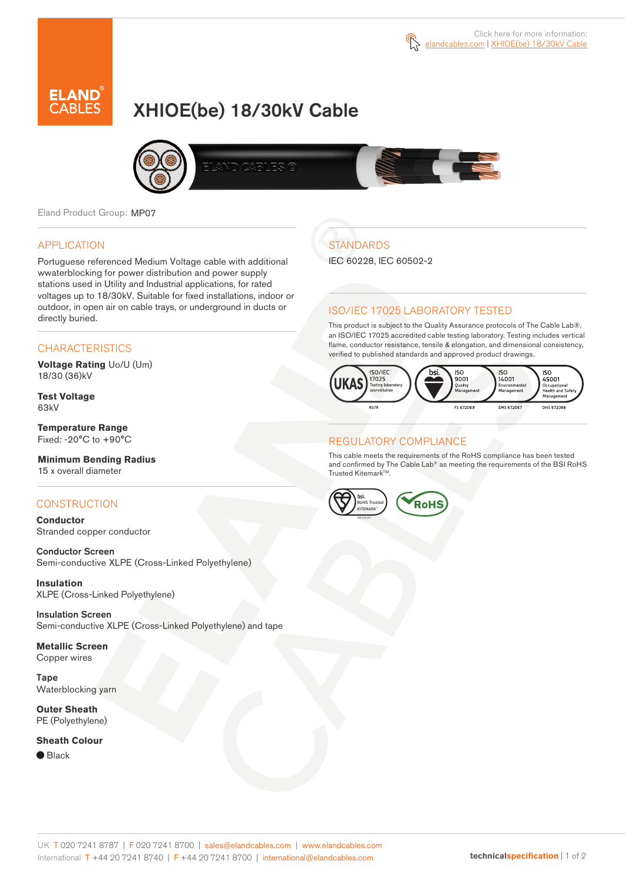

# XHIOE(be) 18/30kV Cable



Eland Product Group: MP07

### APPLICATION

Portuguese referenced Medium Voltage cable with additional wwaterblocking for power distribution and power supply stations used in Utility and Industrial applications, for rated voltages up to 18/30kV. Suitable for fixed installations, indoor or outdoor, in open air on cable trays, or underground in ducts or directly buried.

### **CHARACTERISTICS**

**Voltage Rating** Uo/U (Um) 18/30 (36)kV

**Test Voltage** 63kV

**Temperature Range** Fixed: -20°C to +90°C

**Minimum Bending Radius** 15 x overall diameter

### **CONSTRUCTION**

**Conductor** Stranded copper conductor

Conductor Screen Semi-conductive XLPE (Cross-Linked Polyethylene)

**Insulation** XLPE (Cross-Linked Polyethylene)

Insulation Screen Semi-conductive XLPE (Cross-Linked Polyethylene) and tape

**Metallic Screen** Copper wires

Tape Waterblocking yarn

**Outer Sheath** PE (Polyethylene)

#### **Sheath Colour**

 $\bullet$  Black

# **STANDARDS**

IEC 60228, IEC 60502-2

### ISO/IEC 17025 LABORATORY TESTED

This product is subject to the Quality Assurance protocols of The Cable Lab®, an ISO/IEC 17025 accredited cable testing laboratory. Testing includes vertical flame, conductor resistance, tensile & elongation, and dimensional consistency, verified to published standards and approved product drawings.



### REGULATORY COMPLIANCE

This cable meets the requirements of the RoHS compliance has been tested and confirmed by The Cable Lab® as meeting the requirements of the BSI RoHS Trusted Kitemark™.